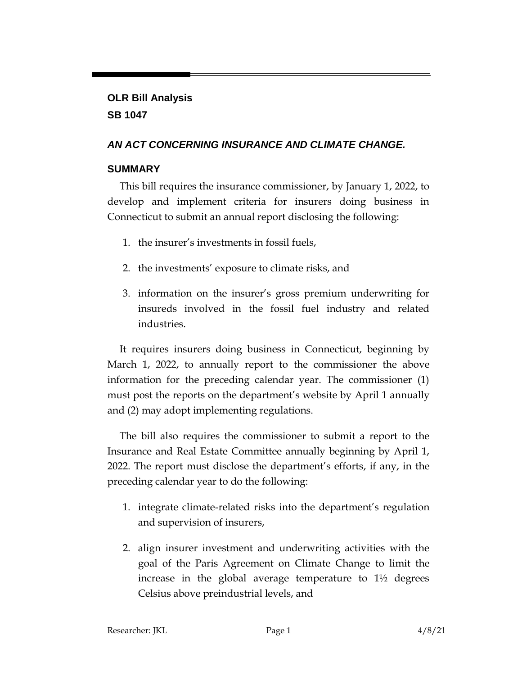## **OLR Bill Analysis SB 1047**

## *AN ACT CONCERNING INSURANCE AND CLIMATE CHANGE.*

## **SUMMARY**

This bill requires the insurance commissioner, by January 1, 2022, to develop and implement criteria for insurers doing business in Connecticut to submit an annual report disclosing the following:

- 1. the insurer's investments in fossil fuels,
- 2. the investments' exposure to climate risks, and
- 3. information on the insurer's gross premium underwriting for insureds involved in the fossil fuel industry and related industries.

It requires insurers doing business in Connecticut, beginning by March 1, 2022, to annually report to the commissioner the above information for the preceding calendar year. The commissioner (1) must post the reports on the department's website by April 1 annually and (2) may adopt implementing regulations.

The bill also requires the commissioner to submit a report to the Insurance and Real Estate Committee annually beginning by April 1, 2022. The report must disclose the department's efforts, if any, in the preceding calendar year to do the following:

- 1. integrate climate-related risks into the department's regulation and supervision of insurers,
- 2. align insurer investment and underwriting activities with the goal of the Paris Agreement on Climate Change to limit the increase in the global average temperature to 1½ degrees Celsius above preindustrial levels, and